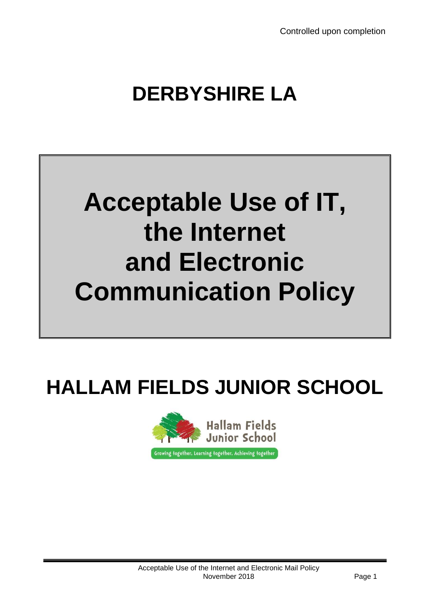### **DERBYSHIRE LA**

# **Acceptable Use of IT, the Internet and Electronic Communication Policy**

## **HALLAM FIELDS JUNIOR SCHOOL**



Growing together, Learning together, Achieving together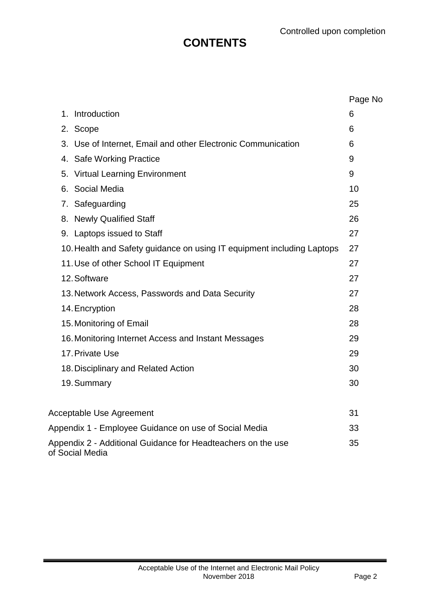### **CONTENTS**

|                                                                                 | Page No |
|---------------------------------------------------------------------------------|---------|
| Introduction<br>1.                                                              | 6       |
| 2. Scope                                                                        | 6       |
| Use of Internet, Email and other Electronic Communication<br>3.                 | 6       |
| 4. Safe Working Practice                                                        | 9       |
| <b>Virtual Learning Environment</b><br>5.                                       | 9       |
| 6. Social Media                                                                 | 10      |
| 7. Safeguarding                                                                 | 25      |
| 8. Newly Qualified Staff                                                        | 26      |
| 9. Laptops issued to Staff                                                      | 27      |
| 10. Health and Safety guidance on using IT equipment including Laptops          | 27      |
| 11. Use of other School IT Equipment                                            | 27      |
| 12. Software                                                                    | 27      |
| 13. Network Access, Passwords and Data Security                                 | 27      |
| 14. Encryption                                                                  | 28      |
| 15. Monitoring of Email                                                         | 28      |
| 16. Monitoring Internet Access and Instant Messages                             | 29      |
| 17. Private Use                                                                 | 29      |
| 18. Disciplinary and Related Action                                             | 30      |
| 19. Summary                                                                     | 30      |
|                                                                                 |         |
| Acceptable Use Agreement                                                        | 31      |
| Appendix 1 - Employee Guidance on use of Social Media                           | 33      |
| Appendix 2 - Additional Guidance for Headteachers on the use<br>of Social Media | 35      |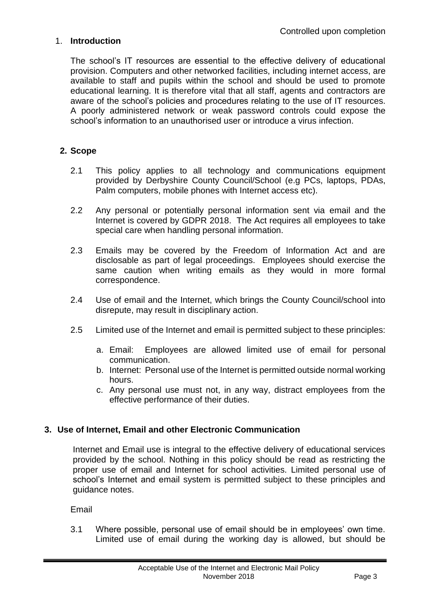#### 1. **Introduction**

The school's IT resources are essential to the effective delivery of educational provision. Computers and other networked facilities, including internet access, are available to staff and pupils within the school and should be used to promote educational learning. It is therefore vital that all staff, agents and contractors are aware of the school's policies and procedures relating to the use of IT resources. A poorly administered network or weak password controls could expose the school's information to an unauthorised user or introduce a virus infection.

#### **2. Scope**

- 2.1 This policy applies to all technology and communications equipment provided by Derbyshire County Council/School (e.g PCs, laptops, PDAs, Palm computers, mobile phones with Internet access etc).
- 2.2 Any personal or potentially personal information sent via email and the Internet is covered by GDPR 2018. The Act requires all employees to take special care when handling personal information.
- 2.3 Emails may be covered by the Freedom of Information Act and are disclosable as part of legal proceedings. Employees should exercise the same caution when writing emails as they would in more formal correspondence.
- 2.4 Use of email and the Internet, which brings the County Council/school into disrepute, may result in disciplinary action.
- 2.5 Limited use of the Internet and email is permitted subject to these principles:
	- a. Email: Employees are allowed limited use of email for personal communication.
	- b. Internet: Personal use of the Internet is permitted outside normal working hours.
	- c. Any personal use must not, in any way, distract employees from the effective performance of their duties.

#### **3. Use of Internet, Email and other Electronic Communication**

Internet and Email use is integral to the effective delivery of educational services provided by the school. Nothing in this policy should be read as restricting the proper use of email and Internet for school activities. Limited personal use of school's Internet and email system is permitted subject to these principles and guidance notes.

#### Email

3.1 Where possible, personal use of email should be in employees' own time. Limited use of email during the working day is allowed, but should be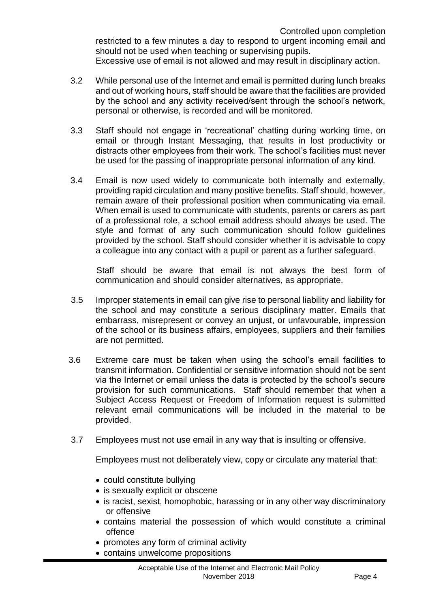Controlled upon completion restricted to a few minutes a day to respond to urgent incoming email and should not be used when teaching or supervising pupils.

- Excessive use of email is not allowed and may result in disciplinary action.
- 3.2 While personal use of the Internet and email is permitted during lunch breaks and out of working hours, staff should be aware that the facilities are provided by the school and any activity received/sent through the school's network, personal or otherwise, is recorded and will be monitored.
- 3.3 Staff should not engage in 'recreational' chatting during working time, on email or through Instant Messaging, that results in lost productivity or distracts other employees from their work. The school's facilities must never be used for the passing of inappropriate personal information of any kind.
- 3.4 Email is now used widely to communicate both internally and externally, providing rapid circulation and many positive benefits. Staff should, however, remain aware of their professional position when communicating via email. When email is used to communicate with students, parents or carers as part of a professional role, a school email address should always be used. The style and format of any such communication should follow guidelines provided by the school. Staff should consider whether it is advisable to copy a colleague into any contact with a pupil or parent as a further safeguard.

Staff should be aware that email is not always the best form of communication and should consider alternatives, as appropriate.

- 3.5 Improper statements in email can give rise to personal liability and liability for the school and may constitute a serious disciplinary matter. Emails that embarrass, misrepresent or convey an unjust, or unfavourable, impression of the school or its business affairs, employees, suppliers and their families are not permitted.
- 3.6 Extreme care must be taken when using the school's email facilities to transmit information. Confidential or sensitive information should not be sent via the Internet or email unless the data is protected by the school's secure provision for such communications. Staff should remember that when a Subject Access Request or Freedom of Information request is submitted relevant email communications will be included in the material to be provided.
- 3.7 Employees must not use email in any way that is insulting or offensive.

Employees must not deliberately view, copy or circulate any material that:

- could constitute bullying
- is sexually explicit or obscene
- is racist, sexist, homophobic, harassing or in any other way discriminatory or offensive
- contains material the possession of which would constitute a criminal offence
- promotes any form of criminal activity
- contains unwelcome propositions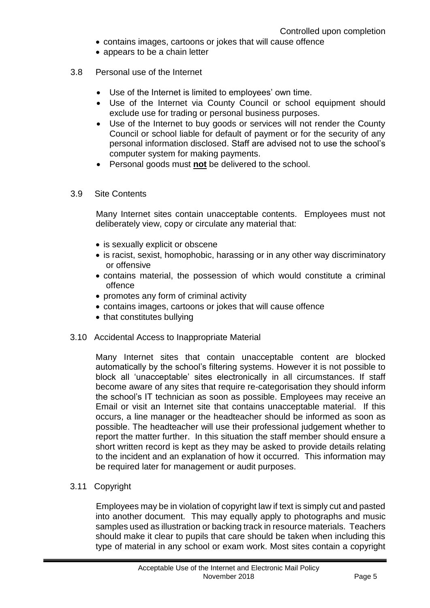- contains images, cartoons or jokes that will cause offence
- appears to be a chain letter
- 3.8 Personal use of the Internet
	- Use of the Internet is limited to employees' own time.
	- Use of the Internet via County Council or school equipment should exclude use for trading or personal business purposes.
	- Use of the Internet to buy goods or services will not render the County Council or school liable for default of payment or for the security of any personal information disclosed. Staff are advised not to use the school's computer system for making payments.
	- Personal goods must **not** be delivered to the school.
- 3.9 Site Contents

Many Internet sites contain unacceptable contents. Employees must not deliberately view, copy or circulate any material that:

- is sexually explicit or obscene
- is racist, sexist, homophobic, harassing or in any other way discriminatory or offensive
- contains material, the possession of which would constitute a criminal offence
- promotes any form of criminal activity
- contains images, cartoons or jokes that will cause offence
- that constitutes bullying
- 3.10 Accidental Access to Inappropriate Material

Many Internet sites that contain unacceptable content are blocked automatically by the school's filtering systems. However it is not possible to block all 'unacceptable' sites electronically in all circumstances. If staff become aware of any sites that require re-categorisation they should inform the school's IT technician as soon as possible. Employees may receive an Email or visit an Internet site that contains unacceptable material. If this occurs, a line manager or the headteacher should be informed as soon as possible. The headteacher will use their professional judgement whether to report the matter further. In this situation the staff member should ensure a short written record is kept as they may be asked to provide details relating to the incident and an explanation of how it occurred. This information may be required later for management or audit purposes.

#### 3.11 Copyright

Employees may be in violation of copyright law if text is simply cut and pasted into another document. This may equally apply to photographs and music samples used as illustration or backing track in resource materials. Teachers should make it clear to pupils that care should be taken when including this type of material in any school or exam work. Most sites contain a copyright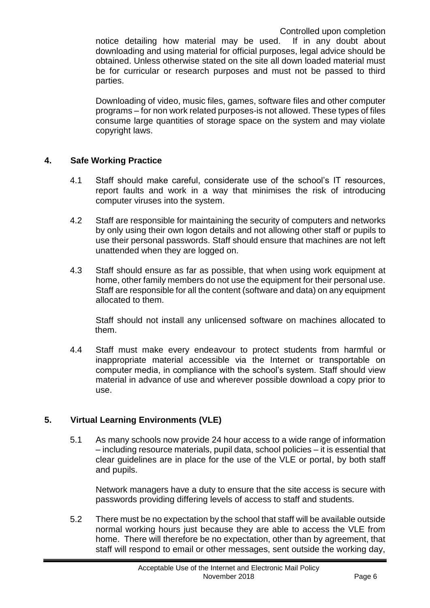notice detailing how material may be used. If in any doubt about downloading and using material for official purposes, legal advice should be obtained. Unless otherwise stated on the site all down loaded material must be for curricular or research purposes and must not be passed to third parties.

Downloading of video, music files, games, software files and other computer programs – for non work related purposes-is not allowed. These types of files consume large quantities of storage space on the system and may violate copyright laws.

#### **4. Safe Working Practice**

- 4.1 Staff should make careful, considerate use of the school's IT resources, report faults and work in a way that minimises the risk of introducing computer viruses into the system.
- 4.2 Staff are responsible for maintaining the security of computers and networks by only using their own logon details and not allowing other staff or pupils to use their personal passwords. Staff should ensure that machines are not left unattended when they are logged on.
- 4.3 Staff should ensure as far as possible, that when using work equipment at home, other family members do not use the equipment for their personal use. Staff are responsible for all the content (software and data) on any equipment allocated to them.

Staff should not install any unlicensed software on machines allocated to them.

4.4 Staff must make every endeavour to protect students from harmful or inappropriate material accessible via the Internet or transportable on computer media, in compliance with the school's system. Staff should view material in advance of use and wherever possible download a copy prior to use.

#### **5. Virtual Learning Environments (VLE)**

5.1 As many schools now provide 24 hour access to a wide range of information – including resource materials, pupil data, school policies – it is essential that clear guidelines are in place for the use of the VLE or portal, by both staff and pupils.

Network managers have a duty to ensure that the site access is secure with passwords providing differing levels of access to staff and students.

5.2 There must be no expectation by the school that staff will be available outside normal working hours just because they are able to access the VLE from home. There will therefore be no expectation, other than by agreement, that staff will respond to email or other messages, sent outside the working day,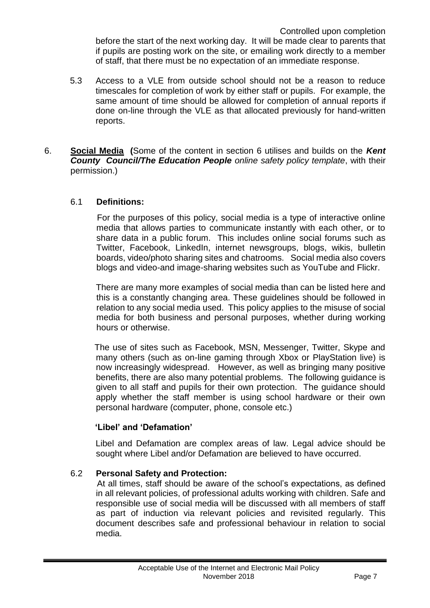- 5.3 Access to a VLE from outside school should not be a reason to reduce timescales for completion of work by either staff or pupils. For example, the same amount of time should be allowed for completion of annual reports if done on-line through the VLE as that allocated previously for hand-written reports.
- 6. **Social Media (**Some of the content in section 6 utilises and builds on the *Kent County Council/The Education People online safety policy template*, with their permission.)

#### 6.1 **Definitions:**

 For the purposes of this policy, social media is a type of interactive online media that allows parties to communicate instantly with each other, or to share data in a public forum. This includes online social forums such as Twitter, Facebook, LinkedIn, internet newsgroups, blogs, wikis, bulletin boards, video/photo sharing sites and chatrooms. Social media also covers blogs and video-and image-sharing websites such as YouTube and Flickr.

There are many more examples of social media than can be listed here and this is a constantly changing area. These guidelines should be followed in relation to any social media used. This policy applies to the misuse of social media for both business and personal purposes, whether during working hours or otherwise.

 The use of sites such as Facebook, MSN, Messenger, Twitter, Skype and many others (such as on-line gaming through Xbox or PlayStation live) is now increasingly widespread. However, as well as bringing many positive benefits, there are also many potential problems. The following guidance is given to all staff and pupils for their own protection. The guidance should apply whether the staff member is using school hardware or their own personal hardware (computer, phone, console etc.)

#### **'Libel' and 'Defamation'**

Libel and Defamation are complex areas of law. Legal advice should be sought where Libel and/or Defamation are believed to have occurred.

#### 6.2 **Personal Safety and Protection:**

 At all times, staff should be aware of the school's expectations, as defined in all relevant policies, of professional adults working with children. Safe and responsible use of social media will be discussed with all members of staff as part of induction via relevant policies and revisited regularly. This document describes safe and professional behaviour in relation to social media.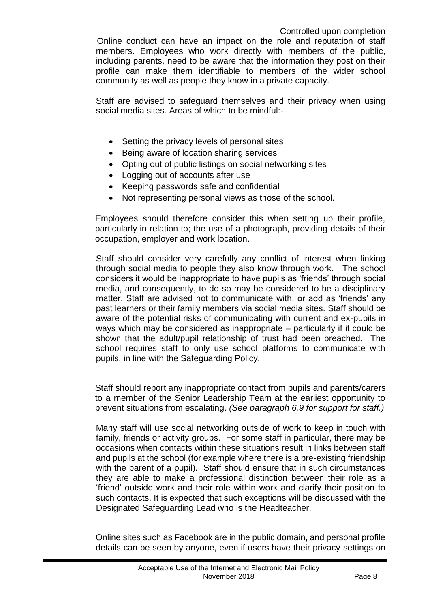Online conduct can have an impact on the role and reputation of staff members. Employees who work directly with members of the public, including parents, need to be aware that the information they post on their profile can make them identifiable to members of the wider school community as well as people they know in a private capacity.

Staff are advised to safeguard themselves and their privacy when using social media sites. Areas of which to be mindful:-

- Setting the privacy levels of personal sites
- Being aware of location sharing services
- Opting out of public listings on social networking sites
- Logging out of accounts after use
- Keeping passwords safe and confidential
- Not representing personal views as those of the school.

Employees should therefore consider this when setting up their profile, particularly in relation to; the use of a photograph, providing details of their occupation, employer and work location.

Staff should consider very carefully any conflict of interest when linking through social media to people they also know through work. The school considers it would be inappropriate to have pupils as 'friends' through social media, and consequently, to do so may be considered to be a disciplinary matter. Staff are advised not to communicate with, or add as 'friends' any past learners or their family members via social media sites. Staff should be aware of the potential risks of communicating with current and ex-pupils in ways which may be considered as inappropriate – particularly if it could be shown that the adult/pupil relationship of trust had been breached. The school requires staff to only use school platforms to communicate with pupils, in line with the Safeguarding Policy.

Staff should report any inappropriate contact from pupils and parents/carers to a member of the Senior Leadership Team at the earliest opportunity to prevent situations from escalating. *(See paragraph 6.9 for support for staff.)*

Many staff will use social networking outside of work to keep in touch with family, friends or activity groups. For some staff in particular, there may be occasions when contacts within these situations result in links between staff and pupils at the school (for example where there is a pre-existing friendship with the parent of a pupil). Staff should ensure that in such circumstances they are able to make a professional distinction between their role as a 'friend' outside work and their role within work and clarify their position to such contacts. It is expected that such exceptions will be discussed with the Designated Safeguarding Lead who is the Headteacher.

Online sites such as Facebook are in the public domain, and personal profile details can be seen by anyone, even if users have their privacy settings on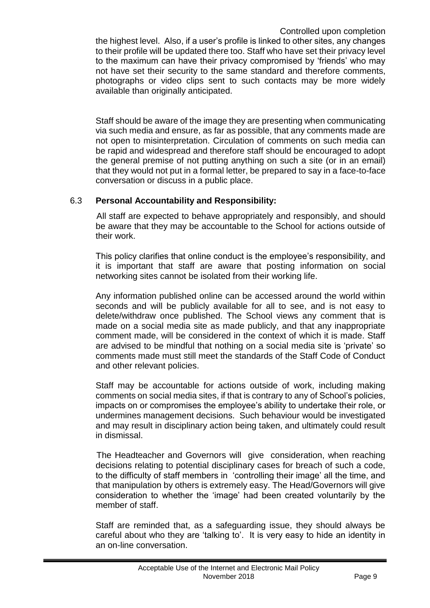Staff should be aware of the image they are presenting when communicating via such media and ensure, as far as possible, that any comments made are not open to misinterpretation. Circulation of comments on such media can be rapid and widespread and therefore staff should be encouraged to adopt the general premise of not putting anything on such a site (or in an email) that they would not put in a formal letter, be prepared to say in a face-to-face conversation or discuss in a public place.

#### 6.3 **Personal Accountability and Responsibility:**

 All staff are expected to behave appropriately and responsibly, and should be aware that they may be accountable to the School for actions outside of their work.

This policy clarifies that online conduct is the employee's responsibility, and it is important that staff are aware that posting information on social networking sites cannot be isolated from their working life.

Any information published online can be accessed around the world within seconds and will be publicly available for all to see, and is not easy to delete/withdraw once published. The School views any comment that is made on a social media site as made publicly, and that any inappropriate comment made, will be considered in the context of which it is made. Staff are advised to be mindful that nothing on a social media site is 'private' so comments made must still meet the standards of the Staff Code of Conduct and other relevant policies.

Staff may be accountable for actions outside of work, including making comments on social media sites, if that is contrary to any of School's policies, impacts on or compromises the employee's ability to undertake their role, or undermines management decisions. Such behaviour would be investigated and may result in disciplinary action being taken, and ultimately could result in dismissal.

 The Headteacher and Governors will give consideration, when reaching decisions relating to potential disciplinary cases for breach of such a code, to the difficulty of staff members in 'controlling their image' all the time, and that manipulation by others is extremely easy. The Head/Governors will give consideration to whether the 'image' had been created voluntarily by the member of staff.

Staff are reminded that, as a safeguarding issue, they should always be careful about who they are 'talking to'. It is very easy to hide an identity in an on-line conversation.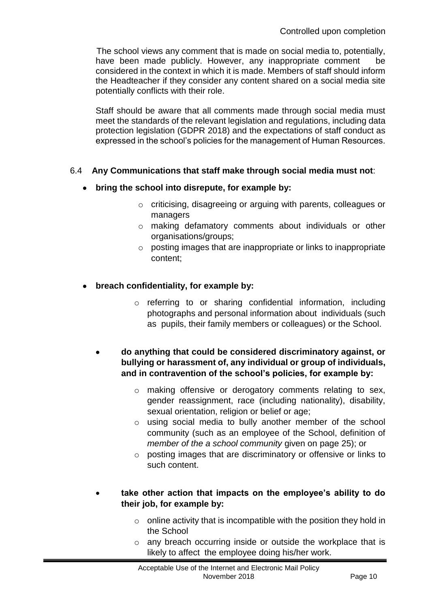The school views any comment that is made on social media to, potentially, have been made publicly. However, any inappropriate comment be considered in the context in which it is made. Members of staff should inform the Headteacher if they consider any content shared on a social media site potentially conflicts with their role.

Staff should be aware that all comments made through social media must meet the standards of the relevant legislation and regulations, including data protection legislation (GDPR 2018) and the expectations of staff conduct as expressed in the school's policies for the management of Human Resources.

#### 6.4 **Any Communications that staff make through social media must not**:

- **bring the school into disrepute, for example by:**
	- o criticising, disagreeing or arguing with parents, colleagues or managers
	- o making defamatory comments about individuals or other organisations/groups;
	- o posting images that are inappropriate or links to inappropriate content;
- **breach confidentiality, for example by:**
	- o referring to or sharing confidential information, including photographs and personal information about individuals (such as pupils, their family members or colleagues) or the School.
	- **do anything that could be considered discriminatory against, or bullying or harassment of, any individual or group of individuals, and in contravention of the school's policies, for example by:**
		- o making offensive or derogatory comments relating to sex, gender reassignment, race (including nationality), disability, sexual orientation, religion or belief or age;
		- o using social media to bully another member of the school community (such as an employee of the School, definition of *member of the a school community* given on page 25); or
		- o posting images that are discriminatory or offensive or links to such content.

#### **take other action that impacts on the employee's ability to do their job, for example by:**

- $\circ$  online activity that is incompatible with the position they hold in the School
- o any breach occurring inside or outside the workplace that is likely to affect the employee doing his/her work.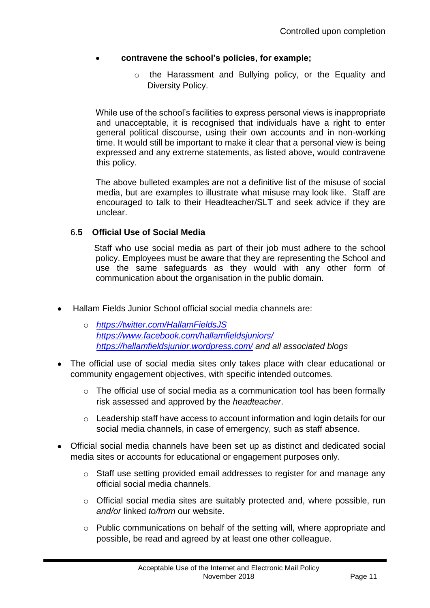#### **contravene the school's policies, for example;**

o the Harassment and Bullying policy, or the Equality and Diversity Policy.

While use of the school's facilities to express personal views is inappropriate and unacceptable, it is recognised that individuals have a right to enter general political discourse, using their own accounts and in non-working time. It would still be important to make it clear that a personal view is being expressed and any extreme statements, as listed above, would contravene this policy.

The above bulleted examples are not a definitive list of the misuse of social media, but are examples to illustrate what misuse may look like. Staff are encouraged to talk to their Headteacher/SLT and seek advice if they are unclear.

#### 6.**5 Official Use of Social Media**

 Staff who use social media as part of their job must adhere to the school policy. Employees must be aware that they are representing the School and use the same safeguards as they would with any other form of communication about the organisation in the public domain.

- Hallam Fields Junior School official social media channels are:
	- o *<https://twitter.com/HallamFieldsJS> <https://www.facebook.com/hallamfieldsjuniors/> <https://hallamfieldsjunior.wordpress.com/> and all associated blogs*
- The official use of social media sites only takes place with clear educational or community engagement objectives, with specific intended outcomes.
	- o The official use of social media as a communication tool has been formally risk assessed and approved by the *headteacher*.
	- o Leadership staff have access to account information and login details for our social media channels, in case of emergency, such as staff absence.
- Official social media channels have been set up as distinct and dedicated social media sites or accounts for educational or engagement purposes only.
	- $\circ$  Staff use setting provided email addresses to register for and manage any official social media channels.
	- o Official social media sites are suitably protected and, where possible, run *and/or* linked *to/from* our website.
	- $\circ$  Public communications on behalf of the setting will, where appropriate and possible, be read and agreed by at least one other colleague.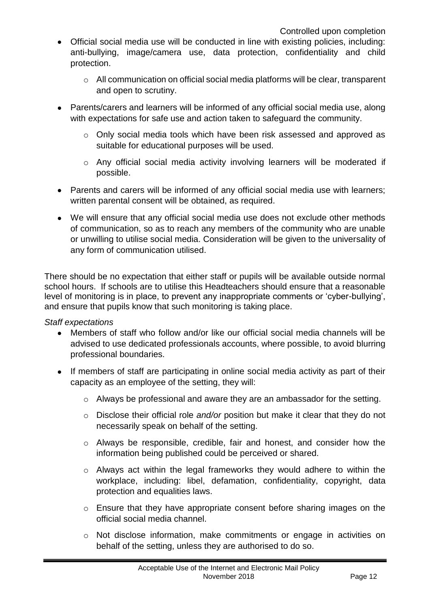- Official social media use will be conducted in line with existing policies, including: anti-bullying, image/camera use, data protection, confidentiality and child protection.
	- o All communication on official social media platforms will be clear, transparent and open to scrutiny.
- Parents/carers and learners will be informed of any official social media use, along with expectations for safe use and action taken to safeguard the community.
	- o Only social media tools which have been risk assessed and approved as suitable for educational purposes will be used.
	- o Any official social media activity involving learners will be moderated if possible.
- Parents and carers will be informed of any official social media use with learners; written parental consent will be obtained, as required.
- We will ensure that any official social media use does not exclude other methods of communication, so as to reach any members of the community who are unable or unwilling to utilise social media. Consideration will be given to the universality of any form of communication utilised.

There should be no expectation that either staff or pupils will be available outside normal school hours. If schools are to utilise this Headteachers should ensure that a reasonable level of monitoring is in place, to prevent any inappropriate comments or 'cyber-bullying', and ensure that pupils know that such monitoring is taking place.

#### *Staff expectations*

- Members of staff who follow and/or like our official social media channels will be advised to use dedicated professionals accounts, where possible, to avoid blurring professional boundaries.
- If members of staff are participating in online social media activity as part of their capacity as an employee of the setting, they will:
	- o Always be professional and aware they are an ambassador for the setting.
	- o Disclose their official role *and/or* position but make it clear that they do not necessarily speak on behalf of the setting.
	- o Always be responsible, credible, fair and honest, and consider how the information being published could be perceived or shared.
	- o Always act within the legal frameworks they would adhere to within the workplace, including: libel, defamation, confidentiality, copyright, data protection and equalities laws.
	- o Ensure that they have appropriate consent before sharing images on the official social media channel.
	- o Not disclose information, make commitments or engage in activities on behalf of the setting, unless they are authorised to do so.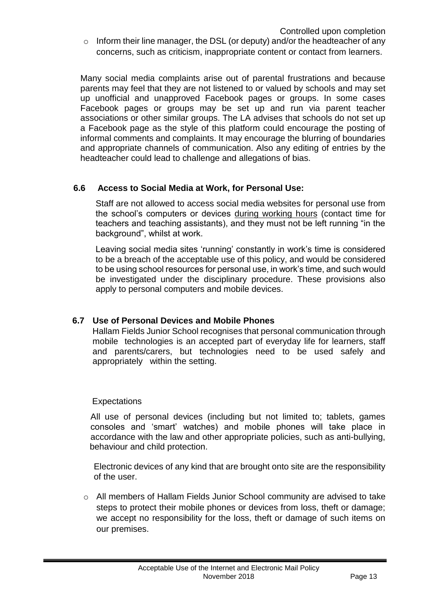o Inform their line manager, the DSL (or deputy) and/or the headteacher of any concerns, such as criticism, inappropriate content or contact from learners.

Many social media complaints arise out of parental frustrations and because parents may feel that they are not listened to or valued by schools and may set up unofficial and unapproved Facebook pages or groups. In some cases Facebook pages or groups may be set up and run via parent teacher associations or other similar groups. The LA advises that schools do not set up a Facebook page as the style of this platform could encourage the posting of informal comments and complaints. It may encourage the blurring of boundaries and appropriate channels of communication. Also any editing of entries by the headteacher could lead to challenge and allegations of bias.

#### **6.6 Access to Social Media at Work, for Personal Use:**

Staff are not allowed to access social media websites for personal use from the school's computers or devices during working hours (contact time for teachers and teaching assistants), and they must not be left running "in the background", whilst at work.

Leaving social media sites 'running' constantly in work's time is considered to be a breach of the acceptable use of this policy, and would be considered to be using school resources for personal use, in work's time, and such would be investigated under the disciplinary procedure. These provisions also apply to personal computers and mobile devices.

#### **6.7 Use of Personal Devices and Mobile Phones**

Hallam Fields Junior School recognises that personal communication through mobile technologies is an accepted part of everyday life for learners, staff and parents/carers, but technologies need to be used safely and appropriately within the setting.

#### Expectations

All use of personal devices (including but not limited to; tablets, games consoles and 'smart' watches) and mobile phones will take place in accordance with the law and other appropriate policies, such as anti-bullying, behaviour and child protection.

Electronic devices of any kind that are brought onto site are the responsibility of the user.

o All members of Hallam Fields Junior School community are advised to take steps to protect their mobile phones or devices from loss, theft or damage; we accept no responsibility for the loss, theft or damage of such items on our premises.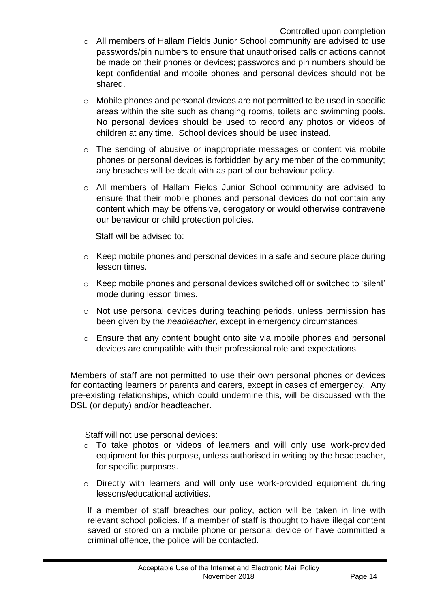- o All members of Hallam Fields Junior School community are advised to use passwords/pin numbers to ensure that unauthorised calls or actions cannot be made on their phones or devices; passwords and pin numbers should be kept confidential and mobile phones and personal devices should not be shared.
- o Mobile phones and personal devices are not permitted to be used in specific areas within the site such as changing rooms, toilets and swimming pools. No personal devices should be used to record any photos or videos of children at any time. School devices should be used instead.
- o The sending of abusive or inappropriate messages or content via mobile phones or personal devices is forbidden by any member of the community; any breaches will be dealt with as part of our behaviour policy.
- o All members of Hallam Fields Junior School community are advised to ensure that their mobile phones and personal devices do not contain any content which may be offensive, derogatory or would otherwise contravene our behaviour or child protection policies.

Staff will be advised to:

- o Keep mobile phones and personal devices in a safe and secure place during lesson times.
- o Keep mobile phones and personal devices switched off or switched to 'silent' mode during lesson times.
- o Not use personal devices during teaching periods, unless permission has been given by the *headteacher*, except in emergency circumstances.
- o Ensure that any content bought onto site via mobile phones and personal devices are compatible with their professional role and expectations.

Members of staff are not permitted to use their own personal phones or devices for contacting learners or parents and carers, except in cases of emergency. Any pre-existing relationships, which could undermine this, will be discussed with the DSL (or deputy) and/or headteacher.

Staff will not use personal devices:

- o To take photos or videos of learners and will only use work-provided equipment for this purpose, unless authorised in writing by the headteacher, for specific purposes.
- o Directly with learners and will only use work-provided equipment during lessons/educational activities.

If a member of staff breaches our policy, action will be taken in line with relevant school policies. If a member of staff is thought to have illegal content saved or stored on a mobile phone or personal device or have committed a criminal offence, the police will be contacted.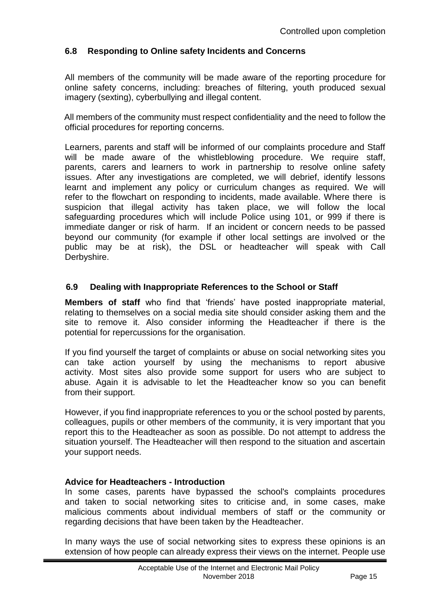#### **6.8 Responding to Online safety Incidents and Concerns**

All members of the community will be made aware of the reporting procedure for online safety concerns, including: breaches of filtering, youth produced sexual imagery (sexting), cyberbullying and illegal content.

 All members of the community must respect confidentiality and the need to follow the official procedures for reporting concerns.

Learners, parents and staff will be informed of our complaints procedure and Staff will be made aware of the whistleblowing procedure. We require staff, parents, carers and learners to work in partnership to resolve online safety issues. After any investigations are completed, we will debrief, identify lessons learnt and implement any policy or curriculum changes as required. We will refer to the flowchart on responding to incidents, made available. Where there is suspicion that illegal activity has taken place, we will follow the local safeguarding procedures which will include Police using 101, or 999 if there is immediate danger or risk of harm. If an incident or concern needs to be passed beyond our community (for example if other local settings are involved or the public may be at risk), the DSL or headteacher will speak with Call Derbyshire.

#### **6.9 Dealing with Inappropriate References to the School or Staff**

**Members of staff** who find that 'friends' have posted inappropriate material, relating to themselves on a social media site should consider asking them and the site to remove it. Also consider informing the Headteacher if there is the potential for repercussions for the organisation.

If you find yourself the target of complaints or abuse on social networking sites you can take action yourself by using the mechanisms to report abusive activity. Most sites also provide some support for users who are subject to abuse. Again it is advisable to let the Headteacher know so you can benefit from their support.

However, if you find inappropriate references to you or the school posted by parents, colleagues, pupils or other members of the community, it is very important that you report this to the Headteacher as soon as possible. Do not attempt to address the situation yourself. The Headteacher will then respond to the situation and ascertain your support needs.

#### **Advice for Headteachers - Introduction**

In some cases, parents have bypassed the school's complaints procedures and taken to social networking sites to criticise and, in some cases, make malicious comments about individual members of staff or the community or regarding decisions that have been taken by the Headteacher.

In many ways the use of social networking sites to express these opinions is an extension of how people can already express their views on the internet. People use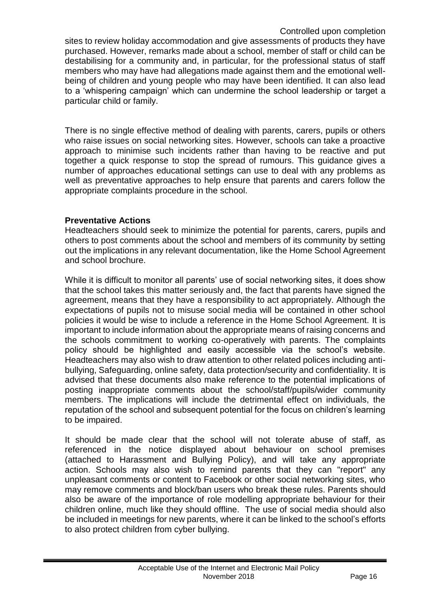sites to review holiday accommodation and give assessments of products they have purchased. However, remarks made about a school, member of staff or child can be destabilising for a community and, in particular, for the professional status of staff members who may have had allegations made against them and the emotional wellbeing of children and young people who may have been identified. It can also lead to a 'whispering campaign' which can undermine the school leadership or target a particular child or family.

There is no single effective method of dealing with parents, carers, pupils or others who raise issues on social networking sites. However, schools can take a proactive approach to minimise such incidents rather than having to be reactive and put together a quick response to stop the spread of rumours. This guidance gives a number of approaches educational settings can use to deal with any problems as well as preventative approaches to help ensure that parents and carers follow the appropriate complaints procedure in the school.

#### **Preventative Actions**

Headteachers should seek to minimize the potential for parents, carers, pupils and others to post comments about the school and members of its community by setting out the implications in any relevant documentation, like the Home School Agreement and school brochure.

While it is difficult to monitor all parents' use of social networking sites, it does show that the school takes this matter seriously and, the fact that parents have signed the agreement, means that they have a responsibility to act appropriately. Although the expectations of pupils not to misuse social media will be contained in other school policies it would be wise to include a reference in the Home School Agreement. It is important to include information about the appropriate means of raising concerns and the schools commitment to working co-operatively with parents. The complaints policy should be highlighted and easily accessible via the school's website. Headteachers may also wish to draw attention to other related polices including antibullying, Safeguarding, online safety, data protection/security and confidentiality. It is advised that these documents also make reference to the potential implications of posting inappropriate comments about the school/staff/pupils/wider community members. The implications will include the detrimental effect on individuals, the reputation of the school and subsequent potential for the focus on children's learning to be impaired.

It should be made clear that the school will not tolerate abuse of staff, as referenced in the notice displayed about behaviour on school premises (attached to Harassment and Bullying Policy), and will take any appropriate action. Schools may also wish to remind parents that they can "report" any unpleasant comments or content to Facebook or other social networking sites, who may remove comments and block/ban users who break these rules. Parents should also be aware of the importance of role modelling appropriate behaviour for their children online, much like they should offline. The use of social media should also be included in meetings for new parents, where it can be linked to the school's efforts to also protect children from cyber bullying.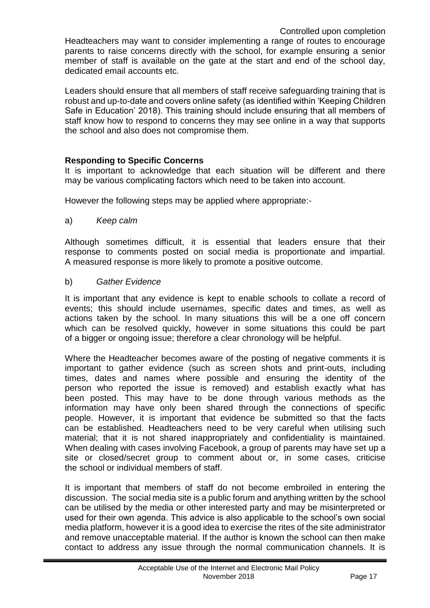Leaders should ensure that all members of staff receive safeguarding training that is robust and up-to-date and covers online safety (as identified within 'Keeping Children Safe in Education' 2018). This training should include ensuring that all members of staff know how to respond to concerns they may see online in a way that supports the school and also does not compromise them.

#### **Responding to Specific Concerns**

It is important to acknowledge that each situation will be different and there may be various complicating factors which need to be taken into account.

However the following steps may be applied where appropriate:-

a) *Keep calm*

Although sometimes difficult, it is essential that leaders ensure that their response to comments posted on social media is proportionate and impartial. A measured response is more likely to promote a positive outcome.

#### b) *Gather Evidence*

It is important that any evidence is kept to enable schools to collate a record of events; this should include usernames, specific dates and times, as well as actions taken by the school. In many situations this will be a one off concern which can be resolved quickly, however in some situations this could be part of a bigger or ongoing issue; therefore a clear chronology will be helpful.

Where the Headteacher becomes aware of the posting of negative comments it is important to gather evidence (such as screen shots and print-outs, including times, dates and names where possible and ensuring the identity of the person who reported the issue is removed) and establish exactly what has been posted. This may have to be done through various methods as the information may have only been shared through the connections of specific people. However, it is important that evidence be submitted so that the facts can be established. Headteachers need to be very careful when utilising such material; that it is not shared inappropriately and confidentiality is maintained. When dealing with cases involving Facebook, a group of parents may have set up a site or closed/secret group to comment about or, in some cases, criticise the school or individual members of staff.

It is important that members of staff do not become embroiled in entering the discussion. The social media site is a public forum and anything written by the school can be utilised by the media or other interested party and may be misinterpreted or used for their own agenda. This advice is also applicable to the school's own social media platform, however it is a good idea to exercise the rites of the site administrator and remove unacceptable material. If the author is known the school can then make contact to address any issue through the normal communication channels. It is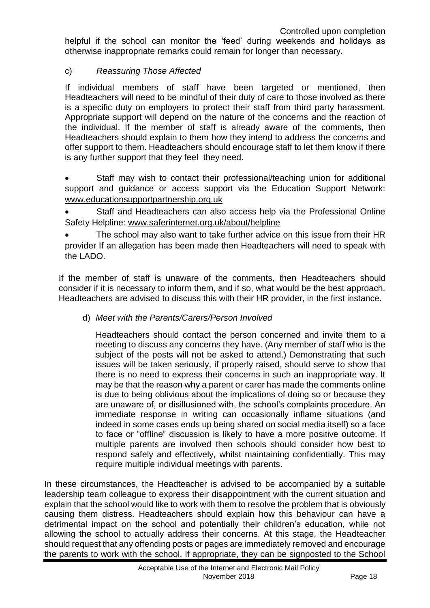helpful if the school can monitor the 'feed' during weekends and holidays as otherwise inappropriate remarks could remain for longer than necessary.

#### c) *Reassuring Those Affected*

If individual members of staff have been targeted or mentioned, then Headteachers will need to be mindful of their duty of care to those involved as there is a specific duty on employers to protect their staff from third party harassment. Appropriate support will depend on the nature of the concerns and the reaction of the individual. If the member of staff is already aware of the comments, then Headteachers should explain to them how they intend to address the concerns and offer support to them. Headteachers should encourage staff to let them know if there is any further support that they feel they need.

 Staff may wish to contact their professional/teaching union for additional support and guidance or access support via the Education Support Network: [www.educationsupportpartnership.org.uk](http://www.educationsupportpartnership.org.uk/)

 Staff and Headteachers can also access help via the Professional Online Safety Helpline: [www.saferinternet.org.uk/about/helpline](http://www.saferinternet.org.uk/about/helpline)

 The school may also want to take further advice on this issue from their HR provider If an allegation has been made then Headteachers will need to speak with the LADO.

If the member of staff is unaware of the comments, then Headteachers should consider if it is necessary to inform them, and if so, what would be the best approach. Headteachers are advised to discuss this with their HR provider, in the first instance.

d) *Meet with the Parents/Carers/Person Involved*

Headteachers should contact the person concerned and invite them to a meeting to discuss any concerns they have. (Any member of staff who is the subject of the posts will not be asked to attend.) Demonstrating that such issues will be taken seriously, if properly raised, should serve to show that there is no need to express their concerns in such an inappropriate way. It may be that the reason why a parent or carer has made the comments online is due to being oblivious about the implications of doing so or because they are unaware of, or disillusioned with, the school's complaints procedure. An immediate response in writing can occasionally inflame situations (and indeed in some cases ends up being shared on social media itself) so a face to face or "offline" discussion is likely to have a more positive outcome. If multiple parents are involved then schools should consider how best to respond safely and effectively, whilst maintaining confidentially. This may require multiple individual meetings with parents.

In these circumstances, the Headteacher is advised to be accompanied by a suitable leadership team colleague to express their disappointment with the current situation and explain that the school would like to work with them to resolve the problem that is obviously causing them distress. Headteachers should explain how this behaviour can have a detrimental impact on the school and potentially their children's education, while not allowing the school to actually address their concerns. At this stage, the Headteacher should request that any offending posts or pages are immediately removed and encourage the parents to work with the school. If appropriate, they can be signposted to the School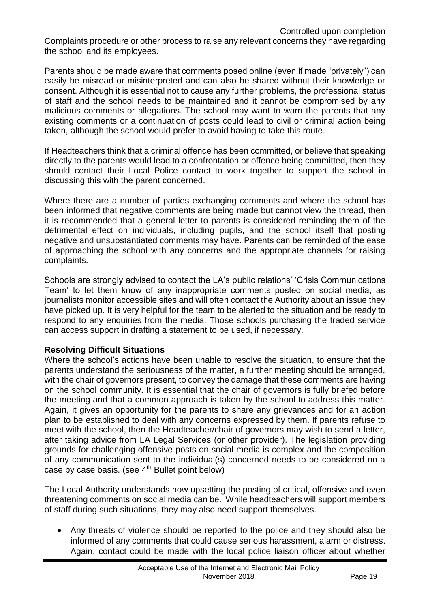Complaints procedure or other process to raise any relevant concerns they have regarding the school and its employees.

Parents should be made aware that comments posed online (even if made "privately") can easily be misread or misinterpreted and can also be shared without their knowledge or consent. Although it is essential not to cause any further problems, the professional status of staff and the school needs to be maintained and it cannot be compromised by any malicious comments or allegations. The school may want to warn the parents that any existing comments or a continuation of posts could lead to civil or criminal action being taken, although the school would prefer to avoid having to take this route.

If Headteachers think that a criminal offence has been committed, or believe that speaking directly to the parents would lead to a confrontation or offence being committed, then they should contact their Local Police contact to work together to support the school in discussing this with the parent concerned.

Where there are a number of parties exchanging comments and where the school has been informed that negative comments are being made but cannot view the thread, then it is recommended that a general letter to parents is considered reminding them of the detrimental effect on individuals, including pupils, and the school itself that posting negative and unsubstantiated comments may have. Parents can be reminded of the ease of approaching the school with any concerns and the appropriate channels for raising complaints.

Schools are strongly advised to contact the LA's public relations' 'Crisis Communications Team' to let them know of any inappropriate comments posted on social media, as journalists monitor accessible sites and will often contact the Authority about an issue they have picked up. It is very helpful for the team to be alerted to the situation and be ready to respond to any enquiries from the media. Those schools purchasing the traded service can access support in drafting a statement to be used, if necessary.

#### **Resolving Difficult Situations**

Where the school's actions have been unable to resolve the situation, to ensure that the parents understand the seriousness of the matter, a further meeting should be arranged, with the chair of governors present, to convey the damage that these comments are having on the school community. It is essential that the chair of governors is fully briefed before the meeting and that a common approach is taken by the school to address this matter. Again, it gives an opportunity for the parents to share any grievances and for an action plan to be established to deal with any concerns expressed by them. If parents refuse to meet with the school, then the Headteacher/chair of governors may wish to send a letter, after taking advice from LA Legal Services (or other provider). The legislation providing grounds for challenging offensive posts on social media is complex and the composition of any communication sent to the individual(s) concerned needs to be considered on a case by case basis. (see  $4<sup>th</sup>$  Bullet point below)

The Local Authority understands how upsetting the posting of critical, offensive and even threatening comments on social media can be. While headteachers will support members of staff during such situations, they may also need support themselves.

 Any threats of violence should be reported to the police and they should also be informed of any comments that could cause serious harassment, alarm or distress. Again, contact could be made with the local police liaison officer about whether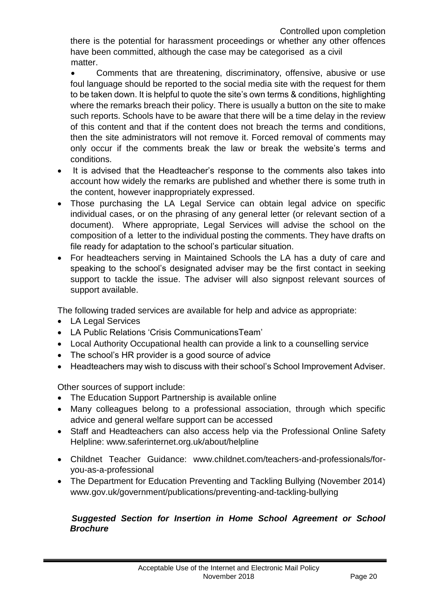there is the potential for harassment proceedings or whether any other offences have been committed, although the case may be categorised as a civil matter.

 Comments that are threatening, discriminatory, offensive, abusive or use foul language should be reported to the social media site with the request for them to be taken down. It is helpful to quote the site's own terms & conditions, highlighting where the remarks breach their policy. There is usually a button on the site to make such reports. Schools have to be aware that there will be a time delay in the review of this content and that if the content does not breach the terms and conditions, then the site administrators will not remove it. Forced removal of comments may only occur if the comments break the law or break the website's terms and conditions.

- It is advised that the Headteacher's response to the comments also takes into account how widely the remarks are published and whether there is some truth in the content, however inappropriately expressed.
- Those purchasing the LA Legal Service can obtain legal advice on specific individual cases, or on the phrasing of any general letter (or relevant section of a document). Where appropriate, Legal Services will advise the school on the composition of a letter to the individual posting the comments. They have drafts on file ready for adaptation to the school's particular situation.
- For headteachers serving in Maintained Schools the LA has a duty of care and speaking to the school's designated adviser may be the first contact in seeking support to tackle the issue. The adviser will also signpost relevant sources of support available.

The following traded services are available for help and advice as appropriate:

- LA Legal Services
- LA Public Relations 'Crisis CommunicationsTeam'
- Local Authority Occupational health can provide a link to a counselling service
- The school's HR provider is a good source of advice
- Headteachers may wish to discuss with their school's School Improvement Adviser.

Other sources of support include:

- The Education Support Partnership is available online
- Many colleagues belong to a professional association, through which specific advice and general welfare support can be accessed
- Staff and Headteachers can also access help via the Professional Online Safety Helpline: www.saferinternet.org.uk/about/helpline
- Childnet Teacher Guidance: www.childnet.com/teachers-and-professionals/foryou-as-a-professional
- The Department for Education Preventing and Tackling Bullying (November 2014) www.gov.uk/government/publications/preventing-and-tackling-bullying

#### *Suggested Section for Insertion in Home School Agreement or School Brochure*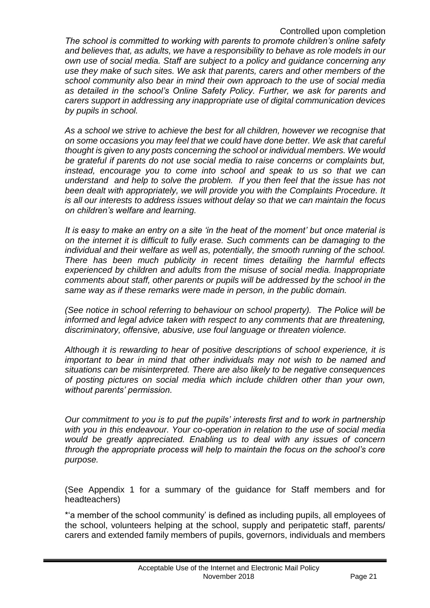*The school is committed to working with parents to promote children's online safety and believes that, as adults, we have a responsibility to behave as role models in our own use of social media. Staff are subject to a policy and guidance concerning any use they make of such sites. We ask that parents, carers and other members of the school community also bear in mind their own approach to the use of social media as detailed in the school's Online Safety Policy. Further, we ask for parents and carers support in addressing any inappropriate use of digital communication devices by pupils in school.*

*As a school we strive to achieve the best for all children, however we recognise that on some occasions you may feel that we could have done better. We ask that careful thought is given to any posts concerning the school or individual members. We would be grateful if parents do not use social media to raise concerns or complaints but, instead, encourage you to come into school and speak to us so that we can understand and help to solve the problem. If you then feel that the issue has not been dealt with appropriately, we will provide you with the Complaints Procedure. It is all our interests to address issues without delay so that we can maintain the focus on children's welfare and learning.* 

*It is easy to make an entry on a site 'in the heat of the moment' but once material is on the internet it is difficult to fully erase. Such comments can be damaging to the individual and their welfare as well as, potentially, the smooth running of the school. There has been much publicity in recent times detailing the harmful effects experienced by children and adults from the misuse of social media. Inappropriate comments about staff, other parents or pupils will be addressed by the school in the same way as if these remarks were made in person, in the public domain.* 

*(See notice in school referring to behaviour on school property). The Police will be informed and legal advice taken with respect to any comments that are threatening, discriminatory, offensive, abusive, use foul language or threaten violence.* 

*Although it is rewarding to hear of positive descriptions of school experience, it is important to bear in mind that other individuals may not wish to be named and situations can be misinterpreted. There are also likely to be negative consequences of posting pictures on social media which include children other than your own, without parents' permission.*

*Our commitment to you is to put the pupils' interests first and to work in partnership with you in this endeavour. Your co-operation in relation to the use of social media would be greatly appreciated. Enabling us to deal with any issues of concern through the appropriate process will help to maintain the focus on the school's core purpose.*

(See Appendix 1 for a summary of the guidance for Staff members and for headteachers)

\*'a member of the school community' is defined as including pupils, all employees of the school, volunteers helping at the school, supply and peripatetic staff, parents/ carers and extended family members of pupils, governors, individuals and members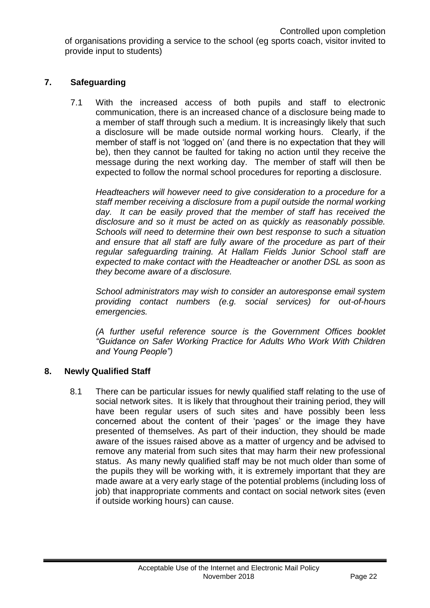of organisations providing a service to the school (eg sports coach, visitor invited to provide input to students)

#### **7. Safeguarding**

7.1 With the increased access of both pupils and staff to electronic communication, there is an increased chance of a disclosure being made to a member of staff through such a medium. It is increasingly likely that such a disclosure will be made outside normal working hours. Clearly, if the member of staff is not 'logged on' (and there is no expectation that they will be), then they cannot be faulted for taking no action until they receive the message during the next working day. The member of staff will then be expected to follow the normal school procedures for reporting a disclosure.

*Headteachers will however need to give consideration to a procedure for a staff member receiving a disclosure from a pupil outside the normal working day. It can be easily proved that the member of staff has received the disclosure and so it must be acted on as quickly as reasonably possible. Schools will need to determine their own best response to such a situation and ensure that all staff are fully aware of the procedure as part of their regular safeguarding training. At Hallam Fields Junior School staff are expected to make contact with the Headteacher or another DSL as soon as they become aware of a disclosure.* 

*School administrators may wish to consider an autoresponse email system providing contact numbers (e.g. social services) for out-of-hours emergencies.*

*(A further useful reference source is the Government Offices booklet "Guidance on Safer Working Practice for Adults Who Work With Children and Young People")*

#### **8. Newly Qualified Staff**

8.1 There can be particular issues for newly qualified staff relating to the use of social network sites. It is likely that throughout their training period, they will have been regular users of such sites and have possibly been less concerned about the content of their 'pages' or the image they have presented of themselves. As part of their induction, they should be made aware of the issues raised above as a matter of urgency and be advised to remove any material from such sites that may harm their new professional status. As many newly qualified staff may be not much older than some of the pupils they will be working with, it is extremely important that they are made aware at a very early stage of the potential problems (including loss of job) that inappropriate comments and contact on social network sites (even if outside working hours) can cause.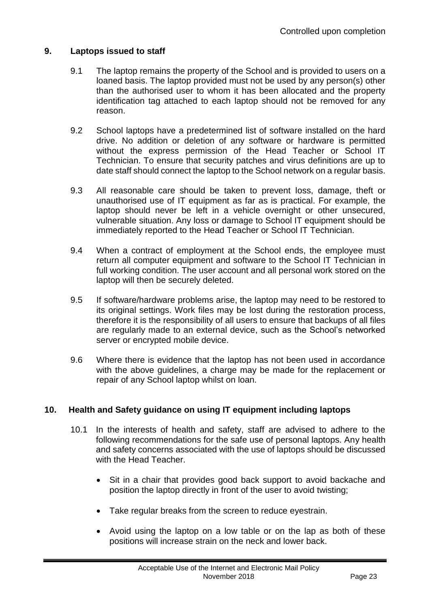#### **9. Laptops issued to staff**

- 9.1 The laptop remains the property of the School and is provided to users on a loaned basis. The laptop provided must not be used by any person(s) other than the authorised user to whom it has been allocated and the property identification tag attached to each laptop should not be removed for any reason.
- 9.2 School laptops have a predetermined list of software installed on the hard drive. No addition or deletion of any software or hardware is permitted without the express permission of the Head Teacher or School IT Technician. To ensure that security patches and virus definitions are up to date staff should connect the laptop to the School network on a regular basis.
- 9.3 All reasonable care should be taken to prevent loss, damage, theft or unauthorised use of IT equipment as far as is practical. For example, the laptop should never be left in a vehicle overnight or other unsecured, vulnerable situation. Any loss or damage to School IT equipment should be immediately reported to the Head Teacher or School IT Technician.
- 9.4 When a contract of employment at the School ends, the employee must return all computer equipment and software to the School IT Technician in full working condition. The user account and all personal work stored on the laptop will then be securely deleted.
- 9.5 If software/hardware problems arise, the laptop may need to be restored to its original settings. Work files may be lost during the restoration process, therefore it is the responsibility of all users to ensure that backups of all files are regularly made to an external device, such as the School's networked server or encrypted mobile device.
- 9.6 Where there is evidence that the laptop has not been used in accordance with the above guidelines, a charge may be made for the replacement or repair of any School laptop whilst on loan.

#### **10. Health and Safety guidance on using IT equipment including laptops**

- 10.1 In the interests of health and safety, staff are advised to adhere to the following recommendations for the safe use of personal laptops. Any health and safety concerns associated with the use of laptops should be discussed with the Head Teacher.
	- Sit in a chair that provides good back support to avoid backache and position the laptop directly in front of the user to avoid twisting;
	- Take regular breaks from the screen to reduce eyestrain.
	- Avoid using the laptop on a low table or on the lap as both of these positions will increase strain on the neck and lower back.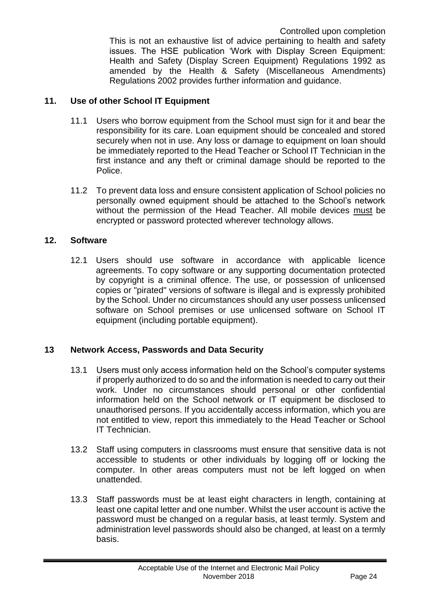#### **11. Use of other School IT Equipment**

- 11.1 Users who borrow equipment from the School must sign for it and bear the responsibility for its care. Loan equipment should be concealed and stored securely when not in use. Any loss or damage to equipment on loan should be immediately reported to the Head Teacher or School IT Technician in the first instance and any theft or criminal damage should be reported to the Police.
- 11.2 To prevent data loss and ensure consistent application of School policies no personally owned equipment should be attached to the School's network without the permission of the Head Teacher. All mobile devices must be encrypted or password protected wherever technology allows.

#### **12. Software**

12.1 Users should use software in accordance with applicable licence agreements. To copy software or any supporting documentation protected by copyright is a criminal offence. The use, or possession of unlicensed copies or "pirated" versions of software is illegal and is expressly prohibited by the School. Under no circumstances should any user possess unlicensed software on School premises or use unlicensed software on School IT equipment (including portable equipment).

#### **13 Network Access, Passwords and Data Security**

- 13.1 Users must only access information held on the School's computer systems if properly authorized to do so and the information is needed to carry out their work. Under no circumstances should personal or other confidential information held on the School network or IT equipment be disclosed to unauthorised persons. If you accidentally access information, which you are not entitled to view, report this immediately to the Head Teacher or School IT Technician.
- 13.2 Staff using computers in classrooms must ensure that sensitive data is not accessible to students or other individuals by logging off or locking the computer. In other areas computers must not be left logged on when unattended.
- 13.3 Staff passwords must be at least eight characters in length, containing at least one capital letter and one number. Whilst the user account is active the password must be changed on a regular basis, at least termly. System and administration level passwords should also be changed, at least on a termly basis.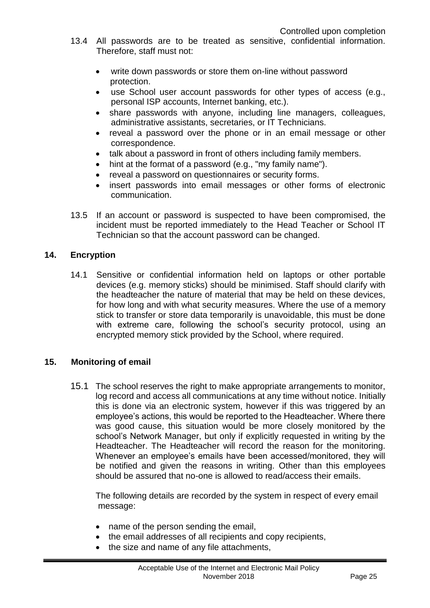- 13.4 All passwords are to be treated as sensitive, confidential information. Therefore, staff must not:
	- write down passwords or store them on-line without password protection.
	- use School user account passwords for other types of access (e.g., personal ISP accounts, Internet banking, etc.).
	- share passwords with anyone, including line managers, colleagues, administrative assistants, secretaries, or IT Technicians.
	- reveal a password over the phone or in an email message or other correspondence.
	- talk about a password in front of others including family members.
	- hint at the format of a password (e.g., "my family name").
	- reveal a password on questionnaires or security forms.
	- insert passwords into email messages or other forms of electronic communication.
- 13.5 If an account or password is suspected to have been compromised, the incident must be reported immediately to the Head Teacher or School IT Technician so that the account password can be changed.

#### **14. Encryption**

14.1 Sensitive or confidential information held on laptops or other portable devices (e.g. memory sticks) should be minimised. Staff should clarify with the headteacher the nature of material that may be held on these devices, for how long and with what security measures. Where the use of a memory stick to transfer or store data temporarily is unavoidable, this must be done with extreme care, following the school's security protocol, using an encrypted memory stick provided by the School, where required.

#### **15. Monitoring of email**

15.1 The school reserves the right to make appropriate arrangements to monitor, log record and access all communications at any time without notice. Initially this is done via an electronic system, however if this was triggered by an employee's actions, this would be reported to the Headteacher. Where there was good cause, this situation would be more closely monitored by the school's Network Manager, but only if explicitly requested in writing by the Headteacher. The Headteacher will record the reason for the monitoring. Whenever an employee's emails have been accessed/monitored, they will be notified and given the reasons in writing. Other than this employees should be assured that no-one is allowed to read/access their emails.

The following details are recorded by the system in respect of every email message:

- name of the person sending the email,
- the email addresses of all recipients and copy recipients,
- the size and name of any file attachments,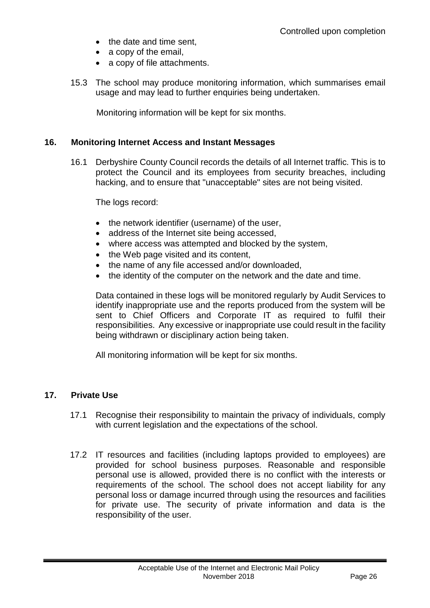- the date and time sent.
- a copy of the email.
- a copy of file attachments.
- 15.3 The school may produce monitoring information, which summarises email usage and may lead to further enquiries being undertaken.

Monitoring information will be kept for six months.

#### **16. Monitoring Internet Access and Instant Messages**

16.1 Derbyshire County Council records the details of all Internet traffic. This is to protect the Council and its employees from security breaches, including hacking, and to ensure that "unacceptable" sites are not being visited.

The logs record:

- the network identifier (username) of the user,
- address of the Internet site being accessed.
- where access was attempted and blocked by the system,
- the Web page visited and its content.
- the name of any file accessed and/or downloaded.
- the identity of the computer on the network and the date and time.

Data contained in these logs will be monitored regularly by Audit Services to identify inappropriate use and the reports produced from the system will be sent to Chief Officers and Corporate IT as required to fulfil their responsibilities. Any excessive or inappropriate use could result in the facility being withdrawn or disciplinary action being taken.

All monitoring information will be kept for six months.

#### **17. Private Use**

- 17.1 Recognise their responsibility to maintain the privacy of individuals, comply with current legislation and the expectations of the school.
- 17.2 IT resources and facilities (including laptops provided to employees) are provided for school business purposes. Reasonable and responsible personal use is allowed, provided there is no conflict with the interests or requirements of the school. The school does not accept liability for any personal loss or damage incurred through using the resources and facilities for private use. The security of private information and data is the responsibility of the user.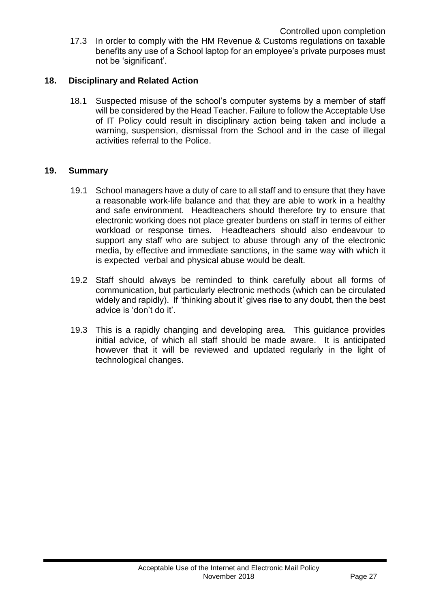17.3 In order to comply with the HM Revenue & Customs regulations on taxable benefits any use of a School laptop for an employee's private purposes must not be 'significant'.

#### **18. Disciplinary and Related Action**

18.1 Suspected misuse of the school's computer systems by a member of staff will be considered by the Head Teacher. Failure to follow the Acceptable Use of IT Policy could result in disciplinary action being taken and include a warning, suspension, dismissal from the School and in the case of illegal activities referral to the Police.

#### **19. Summary**

- 19.1 School managers have a duty of care to all staff and to ensure that they have a reasonable work-life balance and that they are able to work in a healthy and safe environment. Headteachers should therefore try to ensure that electronic working does not place greater burdens on staff in terms of either workload or response times. Headteachers should also endeavour to support any staff who are subject to abuse through any of the electronic media, by effective and immediate sanctions, in the same way with which it is expected verbal and physical abuse would be dealt.
- 19.2 Staff should always be reminded to think carefully about all forms of communication, but particularly electronic methods (which can be circulated widely and rapidly). If 'thinking about it' gives rise to any doubt, then the best advice is 'don't do it'.
- 19.3 This is a rapidly changing and developing area. This guidance provides initial advice, of which all staff should be made aware. It is anticipated however that it will be reviewed and updated regularly in the light of technological changes.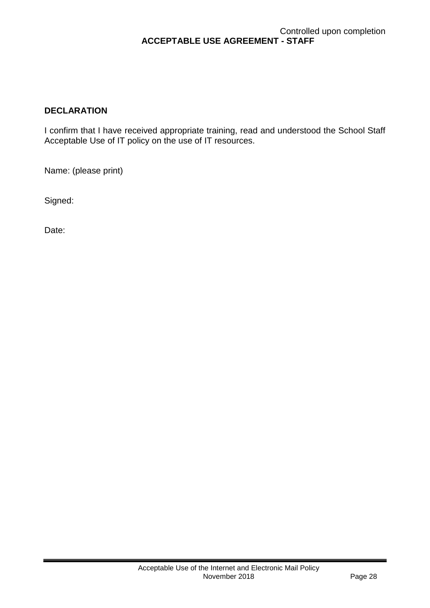#### Controlled upon completion **ACCEPTABLE USE AGREEMENT - STAFF**

#### **DECLARATION**

I confirm that I have received appropriate training, read and understood the School Staff Acceptable Use of IT policy on the use of IT resources.

Name: (please print)

Signed:

Date: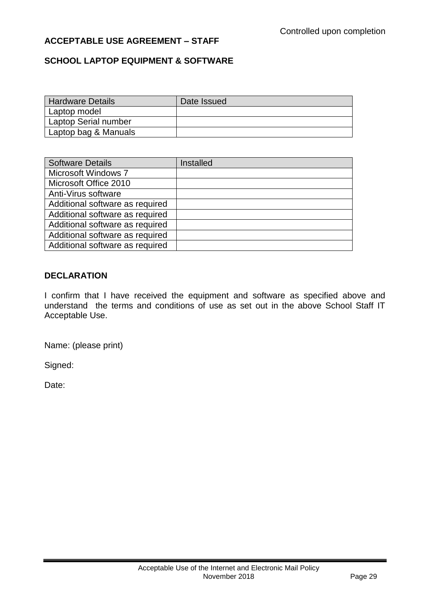#### **ACCEPTABLE USE AGREEMENT – STAFF**

#### **SCHOOL LAPTOP EQUIPMENT & SOFTWARE**

| <b>Hardware Details</b> | Date Issued |
|-------------------------|-------------|
| Laptop model            |             |
| Laptop Serial number    |             |
| Laptop bag & Manuals    |             |

| <b>Software Details</b>         | Installed |
|---------------------------------|-----------|
| Microsoft Windows 7             |           |
| Microsoft Office 2010           |           |
| Anti-Virus software             |           |
| Additional software as required |           |
| Additional software as required |           |
| Additional software as required |           |
| Additional software as required |           |
| Additional software as required |           |

#### **DECLARATION**

I confirm that I have received the equipment and software as specified above and understand the terms and conditions of use as set out in the above School Staff IT Acceptable Use.

Name: (please print)

Signed:

Date: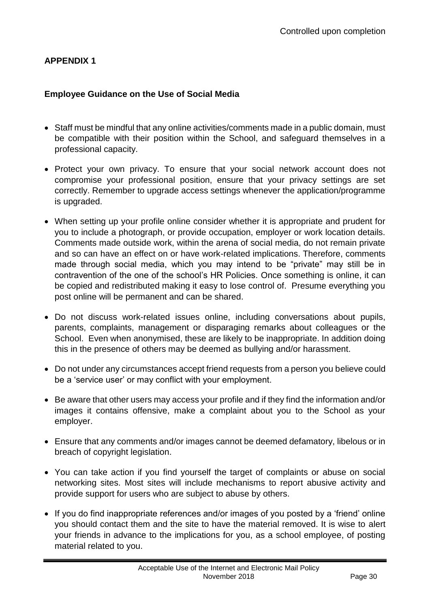#### **APPENDIX 1**

#### **Employee Guidance on the Use of Social Media**

- Staff must be mindful that any online activities/comments made in a public domain, must be compatible with their position within the School, and safeguard themselves in a professional capacity.
- Protect your own privacy. To ensure that your social network account does not compromise your professional position, ensure that your privacy settings are set correctly. Remember to upgrade access settings whenever the application/programme is upgraded.
- When setting up your profile online consider whether it is appropriate and prudent for you to include a photograph, or provide occupation, employer or work location details. Comments made outside work, within the arena of social media, do not remain private and so can have an effect on or have work-related implications. Therefore, comments made through social media, which you may intend to be "private" may still be in contravention of the one of the school's HR Policies. Once something is online, it can be copied and redistributed making it easy to lose control of. Presume everything you post online will be permanent and can be shared.
- Do not discuss work-related issues online, including conversations about pupils, parents, complaints, management or disparaging remarks about colleagues or the School. Even when anonymised, these are likely to be inappropriate. In addition doing this in the presence of others may be deemed as bullying and/or harassment.
- Do not under any circumstances accept friend requests from a person you believe could be a 'service user' or may conflict with your employment.
- Be aware that other users may access your profile and if they find the information and/or images it contains offensive, make a complaint about you to the School as your employer.
- Ensure that any comments and/or images cannot be deemed defamatory, libelous or in breach of copyright legislation.
- You can take action if you find yourself the target of complaints or abuse on social networking sites. Most sites will include mechanisms to report abusive activity and provide support for users who are subject to abuse by others.
- If you do find inappropriate references and/or images of you posted by a 'friend' online you should contact them and the site to have the material removed. It is wise to alert your friends in advance to the implications for you, as a school employee, of posting material related to you.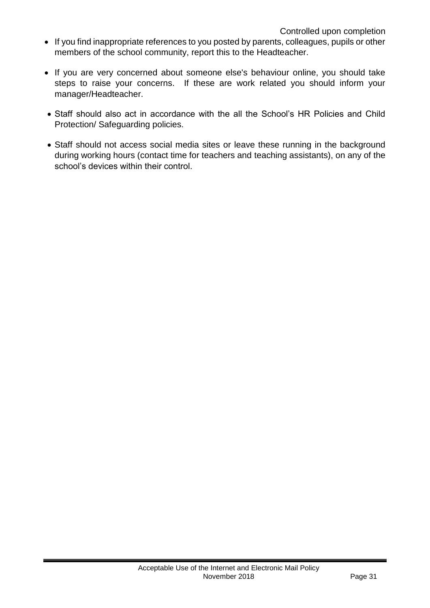- If you find inappropriate references to you posted by parents, colleagues, pupils or other members of the school community, report this to the Headteacher.
- If you are very concerned about someone else's behaviour online, you should take steps to raise your concerns. If these are work related you should inform your manager/Headteacher.
- Staff should also act in accordance with the all the School's HR Policies and Child Protection/ Safeguarding policies.
- Staff should not access social media sites or leave these running in the background during working hours (contact time for teachers and teaching assistants), on any of the school's devices within their control.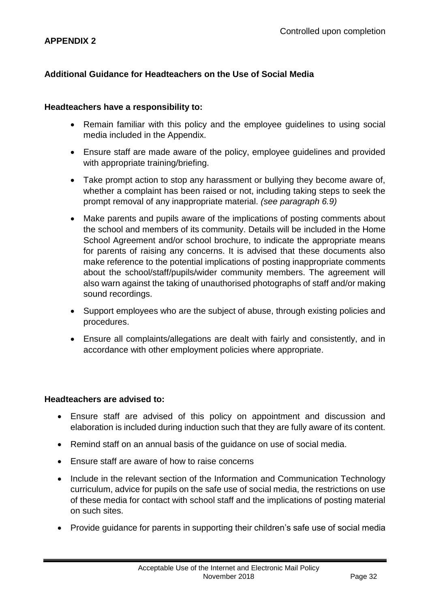#### **APPENDIX 2**

#### **Additional Guidance for Headteachers on the Use of Social Media**

#### **Headteachers have a responsibility to:**

- Remain familiar with this policy and the employee guidelines to using social media included in the Appendix.
- Ensure staff are made aware of the policy, employee guidelines and provided with appropriate training/briefing.
- Take prompt action to stop any harassment or bullying they become aware of, whether a complaint has been raised or not, including taking steps to seek the prompt removal of any inappropriate material. *(see paragraph 6.9)*
- Make parents and pupils aware of the implications of posting comments about the school and members of its community. Details will be included in the Home School Agreement and/or school brochure, to indicate the appropriate means for parents of raising any concerns. It is advised that these documents also make reference to the potential implications of posting inappropriate comments about the school/staff/pupils/wider community members. The agreement will also warn against the taking of unauthorised photographs of staff and/or making sound recordings.
- Support employees who are the subject of abuse, through existing policies and procedures.
- Ensure all complaints/allegations are dealt with fairly and consistently, and in accordance with other employment policies where appropriate.

#### **Headteachers are advised to:**

- Ensure staff are advised of this policy on appointment and discussion and elaboration is included during induction such that they are fully aware of its content.
- Remind staff on an annual basis of the guidance on use of social media.
- Ensure staff are aware of how to raise concerns
- Include in the relevant section of the Information and Communication Technology curriculum, advice for pupils on the safe use of social media, the restrictions on use of these media for contact with school staff and the implications of posting material on such sites.
- Provide guidance for parents in supporting their children's safe use of social media